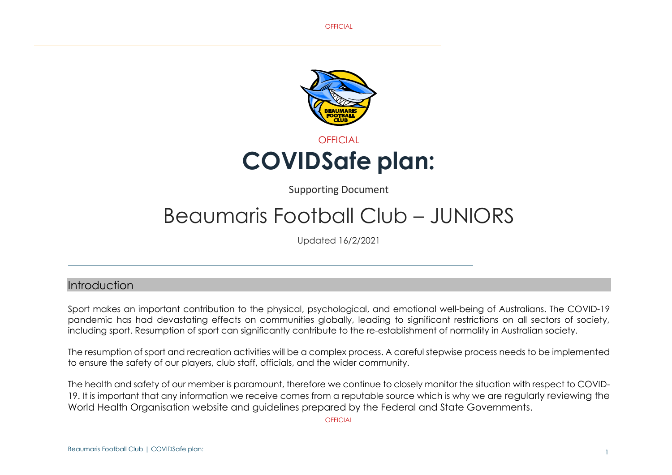**OFFICIAL** 



Supporting Document

# Beaumaris Football Club – JUNIORS

Updated 16/2/2021

## Introduction

Sport makes an important contribution to the physical, psychological, and emotional well-being of Australians. The COVID-19 pandemic has had devastating effects on communities globally, leading to significant restrictions on all sectors of society, including sport. Resumption of sport can significantly contribute to the re-establishment of normality in Australian society.

The resumption of sport and recreation activities will be a complex process. A careful stepwise process needs to be implemented to ensure the safety of our players, club staff, officials, and the wider community.

The health and safety of our member is paramount, therefore we continue to closely monitor the situation with respect to COVID-19. It is important that any information we receive comes from a reputable source which is why we are regularly reviewing the World Health Organisation website and guidelines prepared by the Federal and State Governments.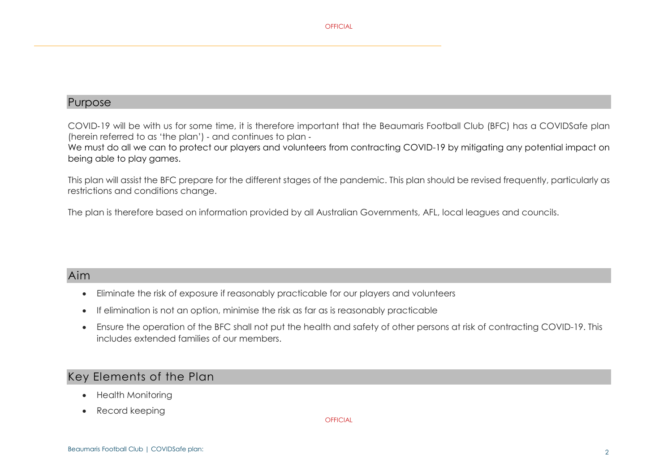

## Purpose

COVID‑19 will be with us for some time, it is therefore important that the Beaumaris Football Club (BFC) has a COVIDSafe plan (herein referred to as 'the plan') ‑ and continues to plan ‑

We must do all we can to protect our players and volunteers from contracting COVID-19 by mitigating any potential impact on being able to play games.

This plan will assist the BFC prepare for the different stages of the pandemic. This plan should be revised frequently, particularly as restrictions and conditions change.

The plan is therefore based on information provided by all Australian Governments, AFL, local leagues and councils.

# Aim

- Eliminate the risk of exposure if reasonably practicable for our players and volunteers
- If elimination is not an option, minimise the risk as far as is reasonably practicable
- Ensure the operation of the BFC shall not put the health and safety of other persons at risk of contracting COVID-19. This includes extended families of our members.

# Key Elements of the Plan

- Health Monitoring
- Record keeping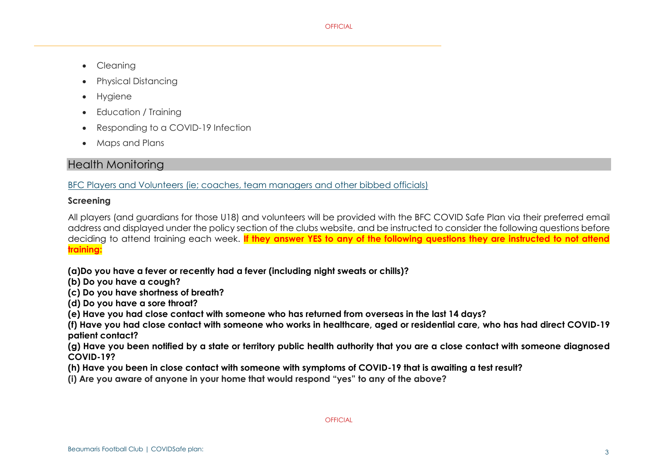- Cleanina
- Physical Distancing
- Hygiene
- Education / Training
- Responding to a COVID-19 Infection
- Maps and Plans

# Health Monitoring

BFC Players and Volunteers (ie; coaches, team managers and other bibbed officials)

#### **Screening**

All players (and guardians for those U18) and volunteers will be provided with the BFC COVID Safe Plan via their preferred email address and displayed under the policy section of the clubs website, and be instructed to consider the following questions before deciding to attend training each week. **If they answer YES to any of the following questions they are instructed to not attend training:**

**(a)Do you have a fever or recently had a fever (including night sweats or chills)?** 

**(b) Do you have a cough?** 

**(c) Do you have shortness of breath?** 

**(d) Do you have a sore throat?** 

**(e) Have you had close contact with someone who has returned from overseas in the last 14 days?** 

**(f) Have you had close contact with someone who works in healthcare, aged or residential care, who has had direct COVID-19 patient contact?** 

**(g) Have you been notified by a state or territory public health authority that you are a close contact with someone diagnosed COVID-19?** 

**(h) Have you been in close contact with someone with symptoms of COVID-19 that is awaiting a test result?** 

**(i) Are you aware of anyone in your home that would respond "yes" to any of the above?**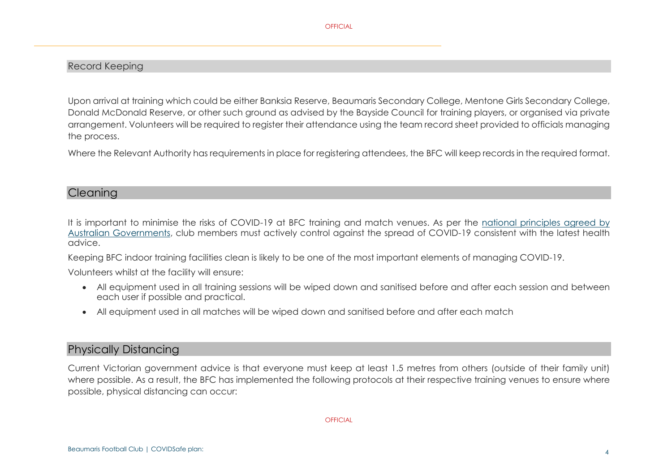#### Record Keeping

Upon arrival at training which could be either Banksia Reserve, Beaumaris Secondary College, Mentone Girls Secondary College, Donald McDonald Reserve, or other such ground as advised by the Bayside Council for training players, or organised via private arrangement. Volunteers will be required to register their attendance using the team record sheet provided to officials managing the process.

Where the Relevant Authority has requirements in place for registering attendees, the BFC will keep records in the required format.

#### **Cleaning**

It is important to minimise the risks of COVID-19 at BFC training and match venues. As per the [national principles](https://www.safeworkaustralia.gov.au/covid-19-information-workplaces/other-resources/national-covid-19-safe-workplace-principles) agreed by [Australian Governments,](https://www.safeworkaustralia.gov.au/covid-19-information-workplaces/other-resources/national-covid-19-safe-workplace-principles) club members must actively control against the spread of COVID-19 consistent with the latest health advice.

Keeping BFC indoor training facilities clean is likely to be one of the most important elements of managing COVID-19.

Volunteers whilst at the facility will ensure:

- All equipment used in all training sessions will be wiped down and sanitised before and after each session and between each user if possible and practical.
- All equipment used in all matches will be wiped down and sanitised before and after each match

## Physically Distancing

Current Victorian government advice is that everyone must keep at least 1.5 metres from others (outside of their family unit) where possible. As a result, the BFC has implemented the following protocols at their respective training venues to ensure where possible, physical distancing can occur: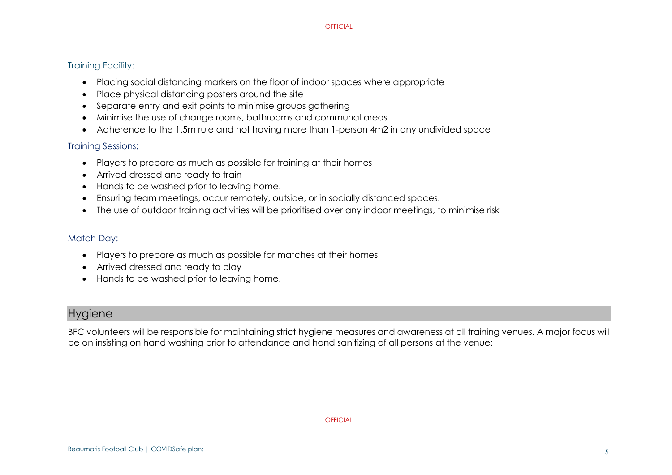## Training Facility:

- Placing social distancing markers on the floor of indoor spaces where appropriate
- Place physical distancing posters around the site
- Separate entry and exit points to minimise groups gathering
- Minimise the use of change rooms, bathrooms and communal areas
- Adherence to the 1.5m rule and not having more than 1-person 4m2 in any undivided space

### Training Sessions:

- Players to prepare as much as possible for training at their homes
- Arrived dressed and ready to train
- Hands to be washed prior to leaving home.
- Ensuring team meetings, occur remotely, outside, or in socially distanced spaces.
- The use of outdoor training activities will be prioritised over any indoor meetings, to minimise risk

## Match Day:

- Players to prepare as much as possible for matches at their homes
- Arrived dressed and ready to play
- Hands to be washed prior to leaving home.

# **Hygiene**

BFC volunteers will be responsible for maintaining strict hygiene measures and awareness at all training venues. A major focus will be on insisting on hand washing prior to attendance and hand sanitizing of all persons at the venue: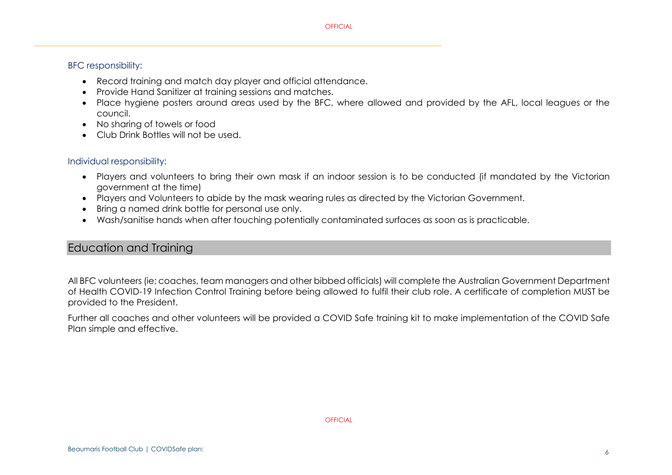#### BFC responsibility:

- Record training and match day player and official attendance.
- Provide Hand Sanitizer at training sessions and matches.
- Place hygiene posters around areas used by the BFC, where allowed and provided by the AFL, local leagues or the council.
- No sharing of towels or food
- Club Drink Bottles will not be used.

#### Individual responsibility:

- Players and volunteers to bring their own mask if an indoor session is to be conducted (if mandated by the Victorian government at the time)
- Players and Volunteers to abide by the mask wearing rules as directed by the Victorian Government.
- Bring a named drink bottle for personal use only.
- Wash/sanitise hands when after touching potentially contaminated surfaces as soon as is practicable.

# Education and Training

All BFC volunteers (ie; coaches, team managers and other bibbed officials) will complete the Australian Government Department of Health COVID-19 Infection Control Training before being allowed to fulfil their club role. A certificate of completion MUST be provided to the President.

Further all coaches and other volunteers will be provided a COVID Safe training kit to make implementation of the COVID Safe Plan simple and effective.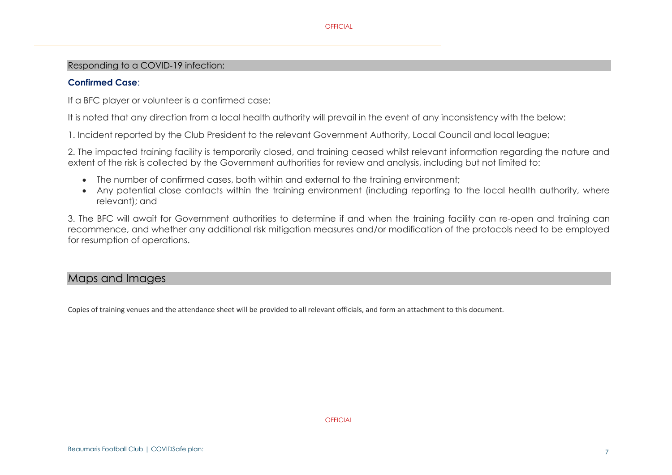#### Responding to a COVID‑19 infection:

#### **Confirmed Case**:

If a BFC player or volunteer is a confirmed case:

It is noted that any direction from a local health authority will prevail in the event of any inconsistency with the below:

1. Incident reported by the Club President to the relevant Government Authority, Local Council and local league;

2. The impacted training facility is temporarily closed, and training ceased whilst relevant information regarding the nature and extent of the risk is collected by the Government authorities for review and analysis, including but not limited to:

- The number of confirmed cases, both within and external to the training environment;
- Any potential close contacts within the training environment (including reporting to the local health authority, where relevant); and

3. The BFC will await for Government authorities to determine if and when the training facility can re-open and training can recommence, and whether any additional risk mitigation measures and/or modification of the protocols need to be employed for resumption of operations.

## Maps and Images

Copies of training venues and the attendance sheet will be provided to all relevant officials, and form an attachment to this document.